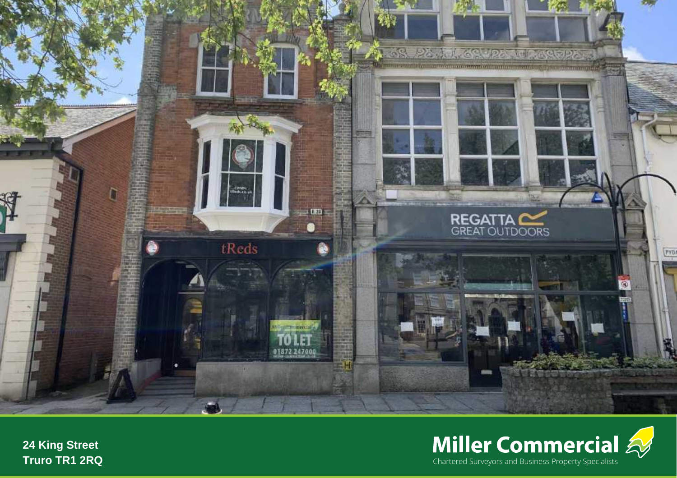



**24 King Street Truro TR1 2RQ**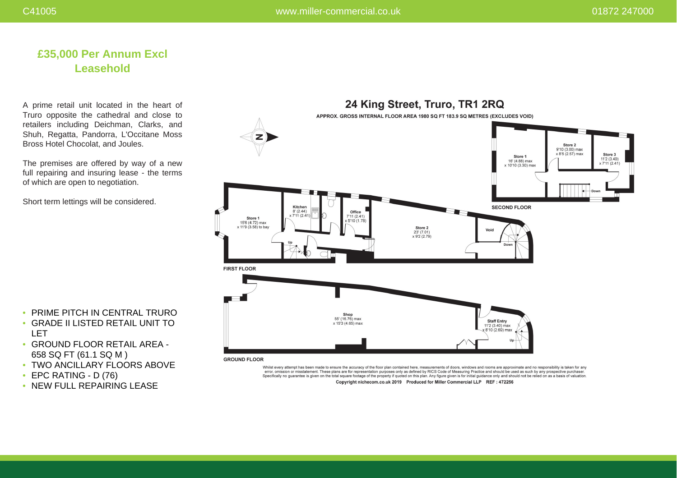# **£35,000 Per Annum Excl Leasehold**

A prime retail unit located in the heart of Truro opposite the cathedral and close to retailers including Deichman, Clarks, and Shuh, Regatta, Pandorra, L'Occitane Moss Bross Hotel Chocolat, and Joules.

The premises are offered by way of a new full repairing and insuring lease - the terms of which are open to negotiation.

Short term lettings will be considered.



• PRIME PITCH IN CENTRAL TRURO

- GRADE II LISTED RETAIL UNIT TO LET
- GROUND FLOOR RETAIL AREA 658 SQ FT (61.1 SQ M )
- TWO ANCILLARY FLOORS ABOVE
- EPC RATING D (76)
- NEW FULL REPAIRING LEASE

error, omission or misstatement. These plans are for representation purposes only as defined by RICS Code of Measuring Practice and should be used as such by any prospective purchaser Specifically no guarantee is given on the total square footage of the property if quoted on this plan. Any figure given is for initial guidance only and should not be relied on as a basis of valuation. Copyright nichecom.co.uk 2019 Produced for Miller Commercial LLP REF : 472256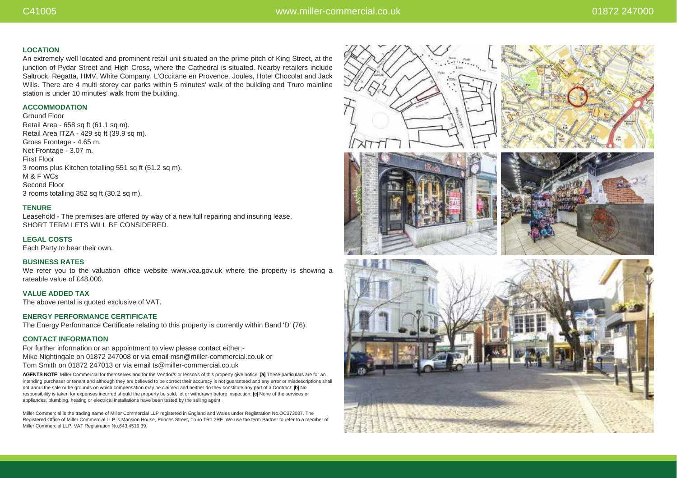## **LOCATION**

An extremely well located and prominent retail unit situated on the prime pitch of King Street, at the junction of Pydar Street and High Cross, where the Cathedral is situated. Nearby retailers include Saltrock, Regatta, HMV, White Company, L'Occitane en Provence, Joules, Hotel Chocolat and Jack Wills. There are 4 multi storey car parks within 5 minutes' walk of the building and Truro mainline station is under 10 minutes' walk from the building.

## **ACCOMMODATION**

Ground Floor Retail Area - 658 sq ft (61.1 sq m). Retail Area ITZA - 429 sq ft (39.9 sq m). Gross Frontage - 4.65 m. Net Frontage - 3.07 m. First Floor 3 rooms plus Kitchen totalling 551 sq ft (51.2 sq m). M & F WCs Second Floor 3 rooms totalling 352 sq ft (30.2 sq m).

## **TENURE**

Leasehold - The premises are offered by way of a new full repairing and insuring lease. SHORT TERM LETS WILL BE CONSIDERED.

**LEGAL COSTS**

Each Party to bear their own.

## **BUSINESS RATES**

We refer you to the valuation office website www.voa.gov.uk where the property is showing a rateable value of £48,000.

**VALUE ADDED TAX** The above rental is quoted exclusive of VAT.

### **ENERGY PERFORMANCE CERTIFICATE**

The Energy Performance Certificate relating to this property is currently within Band 'D' (76).

### **CONTACT INFORMATION**

For further information or an appointment to view please contact either:- Mike Nightingale on 01872 247008 or via email msn@miller-commercial.co.uk or Tom Smith on 01872 247013 or via email ts@miller-commercial.co.uk

AGENTS NOTE: Miller Commercial for themselves and for the Vendor/s or lessor/s of this property give notice: [a] These particulars are for an intending purchaser or tenant and although they are believed to be correct their accuracy is not guaranteed and any error or misdescriptions shall not annul the sale or be grounds on which compensation may be claimed and neither do they constitute any part of a Contract: [b] No responsibility is taken for expenses incurred should the property be sold, let or withdrawn before inspection: [c] None of the services or appliances, plumbing, heating or electrical installations have been tested by the selling agent.

Miller Commercial is the trading name of Miller Commercial LLP registered in England and Wales under Registration No.OC373087. The Registered Office of Miller Commercial LLP is Mansion House, Princes Street, Truro TR1 2RF. We use the term Partner to refer to a member of Miller Commercial LLP. VAT Registration No.643 4519 39.